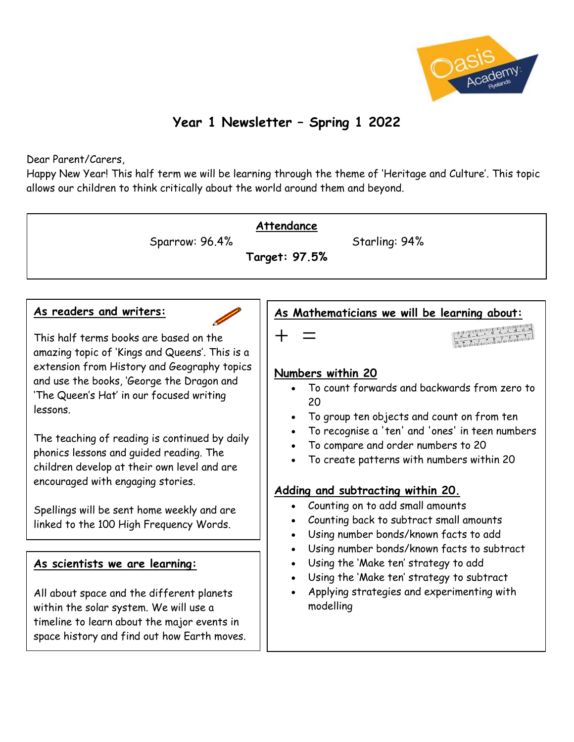

# **Year 1 Newsletter – Spring 1 2022**

### Dear Parent/Carers,

Happy New Year! This half term we will be learning through the theme of 'Heritage and Culture'. This topic allows our children to think critically about the world around them and beyond.

| Sparrow: 96.4%                                                                                                                                                                                                                                                                                                                                                                                                                                                                                                                                   | Attendance<br>Starling: 94%<br>Target: 97.5%                                                                                                                                                                                                                                                                                                                                                                                                                                             |
|--------------------------------------------------------------------------------------------------------------------------------------------------------------------------------------------------------------------------------------------------------------------------------------------------------------------------------------------------------------------------------------------------------------------------------------------------------------------------------------------------------------------------------------------------|------------------------------------------------------------------------------------------------------------------------------------------------------------------------------------------------------------------------------------------------------------------------------------------------------------------------------------------------------------------------------------------------------------------------------------------------------------------------------------------|
| As readers and writers:<br>This half terms books are based on the<br>amazing topic of 'Kings and Queens'. This is a<br>extension from History and Geography topics<br>and use the books, 'George the Dragon and<br>'The Queen's Hat' in our focused writing<br>lessons.<br>The teaching of reading is continued by daily<br>phonics lessons and guided reading. The<br>children develop at their own level and are<br>encouraged with engaging stories.<br>Spellings will be sent home weekly and are<br>linked to the 100 High Frequency Words. | As Mathematicians we will be learning about:<br>an Frank de la Contambre de la familie<br>Numbers within 20<br>• To count forwards and backwards from zero to<br>20<br>To group ten objects and count on from ten<br>To recognise a 'ten' and 'ones' in teen numbers<br>To compare and order numbers to 20<br>To create patterns with numbers within 20<br>Adding and subtracting within 20.<br>Counting on to add small amounts<br>$\bullet$<br>Counting back to subtract small amounts |
| As scientists we are learning:<br>All about space and the different planets<br>within the solar system. We will use a<br>timeline to learn about the major events in<br>space history and find out how Earth moves.                                                                                                                                                                                                                                                                                                                              | Using number bonds/known facts to add<br>Using number bonds/known facts to subtract<br>Using the 'Make ten' strategy to add<br>Using the 'Make ten' strategy to subtract<br>Applying strategies and experimenting with<br>modelling                                                                                                                                                                                                                                                      |